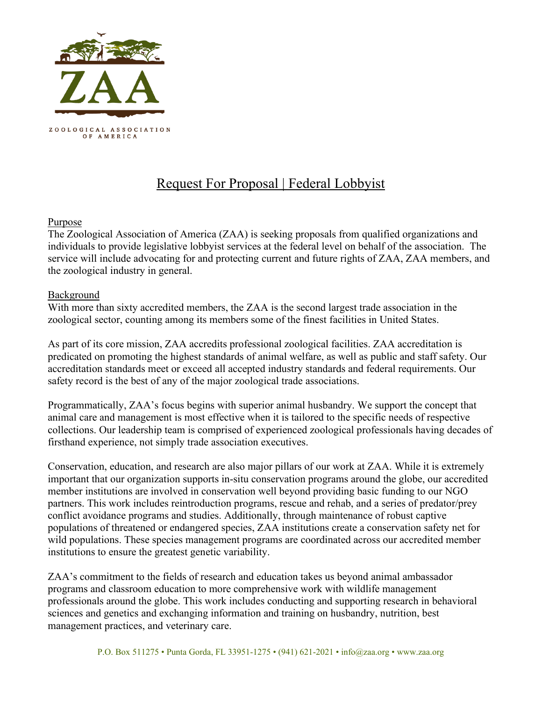

# Request For Proposal | Federal Lobbyist

#### Purpose

The Zoological Association of America (ZAA) is seeking proposals from qualified organizations and individuals to provide legislative lobbyist services at the federal level on behalf of the association. The service will include advocating for and protecting current and future rights of ZAA, ZAA members, and the zoological industry in general.

#### Background

With more than sixty accredited members, the ZAA is the second largest trade association in the zoological sector, counting among its members some of the finest facilities in United States.

As part of its core mission, ZAA accredits professional zoological facilities. ZAA accreditation is predicated on promoting the highest standards of animal welfare, as well as public and staff safety. Our accreditation standards meet or exceed all accepted industry standards and federal requirements. Our safety record is the best of any of the major zoological trade associations.

Programmatically, ZAA's focus begins with superior animal husbandry. We support the concept that animal care and management is most effective when it is tailored to the specific needs of respective collections. Our leadership team is comprised of experienced zoological professionals having decades of firsthand experience, not simply trade association executives.

Conservation, education, and research are also major pillars of our work at ZAA. While it is extremely important that our organization supports in-situ conservation programs around the globe, our accredited member institutions are involved in conservation well beyond providing basic funding to our NGO partners. This work includes reintroduction programs, rescue and rehab, and a series of predator/prey conflict avoidance programs and studies. Additionally, through maintenance of robust captive populations of threatened or endangered species, ZAA institutions create a conservation safety net for wild populations. These species management programs are coordinated across our accredited member institutions to ensure the greatest genetic variability.

ZAA's commitment to the fields of research and education takes us beyond animal ambassador programs and classroom education to more comprehensive work with wildlife management professionals around the globe. This work includes conducting and supporting research in behavioral sciences and genetics and exchanging information and training on husbandry, nutrition, best management practices, and veterinary care.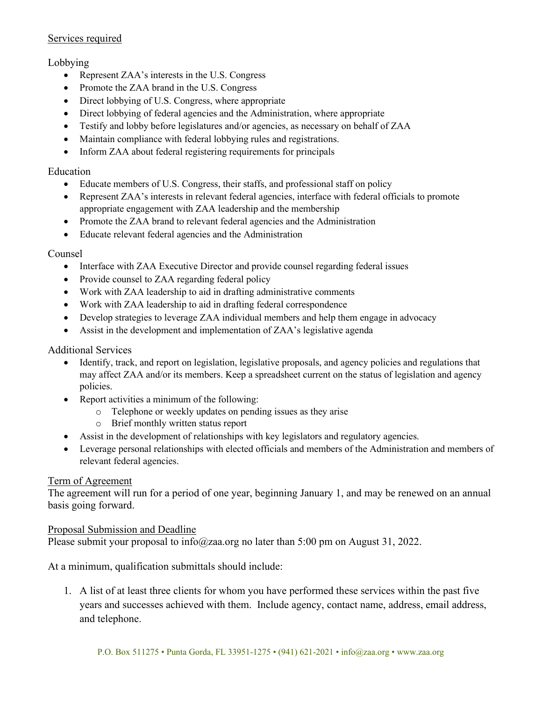#### Services required

# Lobbying

- Represent ZAA's interests in the U.S. Congress
- Promote the ZAA brand in the U.S. Congress
- Direct lobbying of U.S. Congress, where appropriate
- Direct lobbying of federal agencies and the Administration, where appropriate
- Testify and lobby before legislatures and/or agencies, as necessary on behalf of ZAA
- Maintain compliance with federal lobbying rules and registrations.
- Inform ZAA about federal registering requirements for principals

# Education

- Educate members of U.S. Congress, their staffs, and professional staff on policy
- Represent ZAA's interests in relevant federal agencies, interface with federal officials to promote appropriate engagement with ZAA leadership and the membership
- Promote the ZAA brand to relevant federal agencies and the Administration
- Educate relevant federal agencies and the Administration

# Counsel

- Interface with ZAA Executive Director and provide counsel regarding federal issues
- Provide counsel to ZAA regarding federal policy
- Work with ZAA leadership to aid in drafting administrative comments
- Work with ZAA leadership to aid in drafting federal correspondence
- Develop strategies to leverage ZAA individual members and help them engage in advocacy
- Assist in the development and implementation of ZAA's legislative agenda

# Additional Services

- Identify, track, and report on legislation, legislative proposals, and agency policies and regulations that may affect ZAA and/or its members. Keep a spreadsheet current on the status of legislation and agency policies.
- Report activities a minimum of the following:
	- o Telephone or weekly updates on pending issues as they arise
	- o Brief monthly written status report
- Assist in the development of relationships with key legislators and regulatory agencies.
- Leverage personal relationships with elected officials and members of the Administration and members of relevant federal agencies.

#### Term of Agreement

The agreement will run for a period of one year, beginning January 1, and may be renewed on an annual basis going forward.

#### Proposal Submission and Deadline

Please submit your proposal to info@zaa.org no later than 5:00 pm on August 31, 2022.

At a minimum, qualification submittals should include:

1. A list of at least three clients for whom you have performed these services within the past five years and successes achieved with them. Include agency, contact name, address, email address, and telephone.